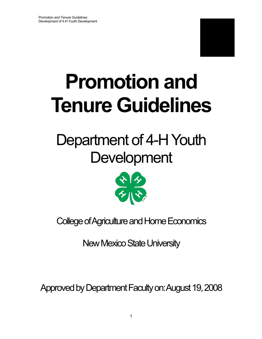

# **Tenure Guidelines Promotion and**

## Department of 4-H Youth **Development**



College of Agriculture and Home Economics

New Mexico State University

Approved by Department Faculty on: August 19, 2008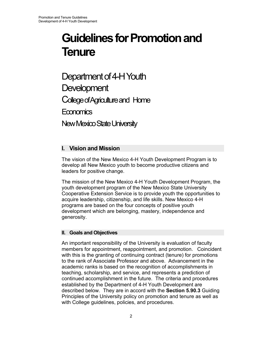## **Guidelines for Promotion and Tenure**

Department of 4-H Youth **Development** College of Agriculture and Home **Economics** New Mexico State University

## **I. Vision and Mission**

The vision of the New Mexico 4-H Youth Development Program is to develop all New Mexico youth to become productive citizens and leaders for positive change.

The mission of the New Mexico 4-H Youth Development Program, the youth development program of the New Mexico State University Cooperative Extension Service is to provide youth the opportunities to acquire leadership, citizenship, and life skills. New Mexico 4-H programs are based on the four concepts of positive youth development which are belonging, mastery, independence and generosity.

## **II. Goals and Objectives**

An important responsibility of the University is evaluation of faculty members for appointment, reappointment, and promotion. Coincident with this is the granting of continuing contract (tenure) for promotions to the rank of Associate Professor and above. Advancement in the academic ranks is based on the recognition of accomplishments in teaching, scholarship, and service, and represents a prediction of continued accomplishment in the future. The criteria and procedures established by the Department of 4-H Youth Development are described below. They are in accord with the **Section 5.90.3** Guiding Principles of the University policy on promotion and tenure as well as with College guidelines, policies, and procedures.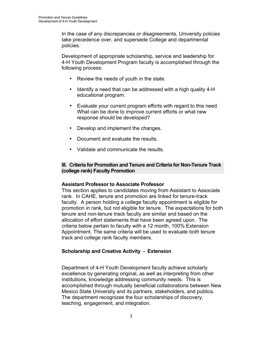In the case of any discrepancies or disagreements, University policies take precedence over, and supersede College and departmental policies.

Development of appropriate scholarship, service and leadership for 4-H Youth Development Program faculty is accomplished through the following process:

- Review the needs of youth in the state.
- Identify a need that can be addressed with a high quality 4-H educational program.
- Evaluate your current program efforts with regard to this need. What can be done to improve current efforts or what new response should be developed?
- Develop and implement the changes.
- Document and evaluate the results.
- Validate and communicate the results.

## **III. Criteria for Promotion and Tenure and Criteria for Non-Tenure Track (college rank) Faculty Promotion**

## **Assistant Professor to Associate Professor**

This section applies to candidates moving from Assistant to Associate rank. In CAHE, tenure and promotion are linked for tenure-track faculty. A person holding a college faculty appointment is eligible for promotion in rank, but not eligible for tenure. The expectations for both tenure and non-tenure track faculty are similar and based on the allocation of effort statements that have been agreed upon. The criteria below pertain to faculty with a 12 month, 100% Extension Appointment. The same criteria will be used to evaluate both tenure track and college rank faculty members.

## **Scholarship and Creative Activity - Extension**

Department of 4-H Youth Development faculty achieve scholarly excellence by generating original, as well as interpreting from other institutions, knowledge addressing community needs. This is accomplished through mutually beneficial collaborations between New Mexico State University and its partners, stakeholders, and publics. The department recognizes the four scholarships of discovery, teaching, engagement, and integration.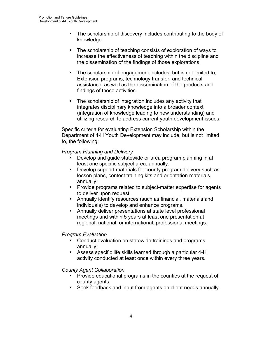- knowledge. • The scholarship of discovery includes contributing to the body of
- The scholarship of teaching consists of exploration of ways to increase the effectiveness of teaching within the discipline and the dissemination of the findings of those explorations.
- The scholarship of engagement includes, but is not limited to, Extension programs, technology transfer, and technical assistance, as well as the dissemination of the products and findings of those activities.
- The scholarship of integration includes any activity that integrates disciplinary knowledge into a broader context (integration of knowledge leading to new understanding) and utilizing research to address current youth development issues.

Specific criteria for evaluating Extension Scholarship within the Department of 4-H Youth Development may include, but is not limited to, the following:

## *Program Planning and Delivery*

- Develop and guide statewide or area program planning in at least one specific subject area, annually.
- Develop support materials for county program delivery such as lesson plans, contest training kits and orientation materials, annually.
- Provide programs related to subject-matter expertise for agents to deliver upon request.
- individuals) to develop and enhance programs. • Annually identify resources (such as financial, materials and
- Annually deliver presentations at state level professional meetings and within 5 years at least one presentation at regional, national, or international, professional meetings.

## *Program Evaluation*

- Conduct evaluation on statewide trainings and programs annually.
- • Assess specific life skills learned through a particular 4-H activity conducted at least once within every three years.

## *County Agent Collaboration*

- Provide educational programs in the counties at the request of county agents.
- Seek feedback and input from agents on client needs annually.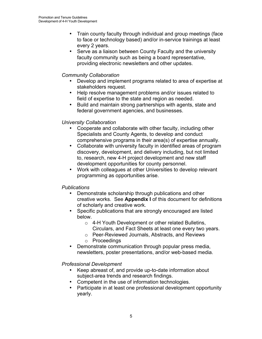- Train county faculty through individual and group meetings (face to face or technology based) and/or in-service trainings at least every 2 years.
- Serve as a liaison between County Faculty and the university faculty community such as being a board representative, providing electronic newsletters and other updates.

## *Community Collaboration*

- Develop and implement programs related to area of expertise at stakeholders request.
- Help resolve management problems and/or issues related to field of expertise to the state and region as needed.
- Build and maintain strong partnerships with agents, state and federal government agencies, and businesses.

## *University Collaboration*

- Cooperate and collaborate with other faculty, including other Specialists and County Agents, to develop and conduct comprehensive programs in their area(s) of expertise annually.
- Collaborate with university faculty in identified areas of program discovery, development, and delivery including, but not limited to, research, new 4-H project development and new staff development opportunities for county personnel.
- Work with colleagues at other Universities to develop relevant programming as opportunities arise.

## *Publications*

- Demonstrate scholarship through publications and other creative works. See **Appendix I** of this document for definitions of scholarly and creative work.
- Specific publications that are strongly encouraged are listed below.
	- o 4-H Youth Development or other related Bulletins, Circulars, and Fact Sheets at least one every two years.
	- o Peer-Reviewed Journals, Abstracts, and Reviews
	- o Proceedings
- Demonstrate communication through popular press media, newsletters, poster presentations, and/or web-based media.

## *Professional Development*

- Keep abreast of, and provide up-to-date information about subject-area trends and research findings.
- Competent in the use of information technologies.
- Participate in at least one professional development opportunity yearly.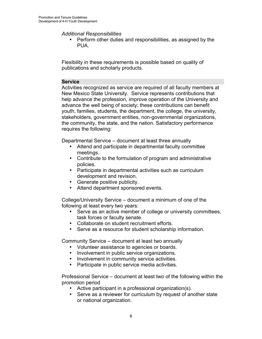*Additional Responsibilities* 

• Perform other duties and responsibilities, as assigned by the PUA.

Flexibility in these requirements is possible based on quality of publications and scholarly products.

## **Service**

Activities recognized as service are required of all faculty members at New Mexico State University. Service represents contributions that help advance the profession, improve operation of the University and advance the well being of society; these contributions can benefit youth, families, students, the department, the college, the university, stakeholders, government entities, non-governmental organizations, the community, the state, and the nation. Satisfactory performance requires the following:

Departmental Service – document at least three annually

- Attend and participate in departmental faculty committee meetings.
- Contribute to the formulation of program and administrative policies.
- Participate in departmental activities such as curriculum development and revision.
- Generate positive publicity.
- Attend department sponsored events.

College/University Service – document a minimum of one of the following at least every two years:

- Serve as an active member of college or university committees, task forces or faculty senate.
- Collaborate on student recruitment efforts.
- Serve as a resource for student scholarship information.

Community Service – document at least two annually

- Volunteer assistance to agencies or boards.
- Involvement in public service organizations.
- Involvement in community service activities.
- Participate in public service media activities.

Professional Service – document at least two of the following within the promotion period

- Active participant in a professional organization(s).
- Serve as a reviewer for curriculum by request of another state or national organization.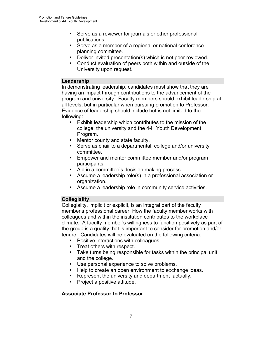- Serve as a reviewer for journals or other professional publications.
- Serve as a member of a regional or national conference planning committee.
- Deliver invited presentation(s) which is not peer reviewed.
- Conduct evaluation of peers both within and outside of the University upon request.

## **Leadership**

In demonstrating leadership, candidates must show that they are having an impact through contributions to the advancement of the program and university. Faculty members should exhibit leadership at all levels, but in particular when pursuing promotion to Professor. Evidence of leadership should include but is not limited to the following:

- Exhibit leadership which contributes to the mission of the college, the university and the 4-H Youth Development Program.
- Mentor county and state faculty.
- Serve as chair to a departmental, college and/or university committee.
- Empower and mentor committee member and/or program participants.
- Aid in a committee's decision making process.
- Assume a leadership role(s) in a professional association or organization.
- Assume a leadership role in community service activities.

## **Collegiality**

Collegiality, implicit or explicit, is an integral part of the faculty member's professional career. How the faculty member works with colleagues and within the institution contributes to the workplace climate. A faculty member's willingness to function positively as part of the group is a quality that is important to consider for promotion and/or tenure. Candidates will be evaluated on the following criteria:

- Positive interactions with colleagues.
- Treat others with respect.
- Take turns being responsible for tasks within the principal unit and the college.
- Use personal experience to solve problems.
- Help to create an open environment to exchange ideas.
- Represent the university and department factually.
- Project a positive attitude.

## **Associate Professor to Professor**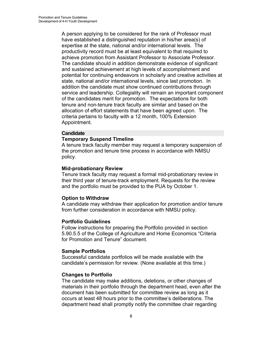of the candidates merit for promotion. The expectations for both Appointment. A person applying to be considered for the rank of Professor must have established a distinguished reputation in his/her area(s) of expertise at the state, national and/or international levels. The productivity record must be at least equivalent to that required to achieve promotion from Assistant Professor to Associate Professor. The candidate should in addition demonstrate evidence of significant and sustained achievement at high levels of accomplishment and potential for continuing endeavors in scholarly and creative activities at state, national and/or international levels, since last promotion. In addition the candidate must show continued contributions through service and leadership. Collegiality will remain an important component tenure and non-tenure track faculty are similar and based on the allocation of effort statements that have been agreed upon. The criteria pertains to faculty with a 12 month, 100% Extension

## **Candidate**

## **Temporary Suspend Timeline**

A tenure track faculty member may request a temporary suspension of the promotion and tenure time process in accordance with NMSU policy.

#### **Mid-probationary Review**

Tenure track faculty may request a formal mid-probationary review in their third year of tenure-track employment. Requests for the review and the portfolio must be provided to the PUA by October 1.

## **Option to Withdraw**

A candidate may withdraw their application for promotion and/or tenure from further consideration in accordance with NMSU policy.

## **Portfolio Guidelines**

Follow instructions for preparing the Portfolio provided in section 5.90.5.5 of the College of Agriculture and Home Economics "Criteria for Promotion and Tenure" document.

#### **Sample Portfolios**

Successful candidate portfolios will be made available with the candidate's permission for review. (None available at this time.)

## **Changes to Portfolio**

The candidate may make additions, deletions, or other changes of materials in their portfolio through the department head, even after the document has been submitted for committee review as long as it occurs at least 48 hours prior to the committee's deliberations. The department head shall promptly notify the committee chair regarding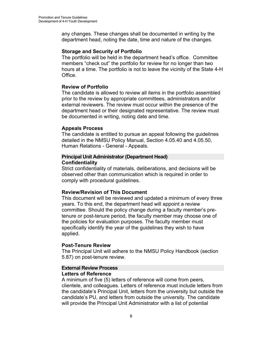any changes. These changes shall be documented in writing by the department head, noting the date, time and nature of the changes.

## **Storage and Security of Portfolio**

The portfolio will be held in the department head's office. Committee members "check out" the portfolio for review for no longer than two hours at a time. The portfolio is not to leave the vicinity of the State 4-H Office.

## **Review of Portfolio**

The candidate is allowed to review all items in the portfolio assembled prior to the review by appropriate committees, administrators and/or external reviewers. The review must occur within the presence of the department head or their designated representative. The review must be documented in writing, noting date and time.

## **Appeals Process**

The candidate is entitled to pursue an appeal following the guidelines detailed in the NMSU Policy Manual, Section 4.05.40 and 4.05.50, Human Relations - General - Appeals.

## **Principal Unit Administrator (Department Head) Confidentiality**

Strict confidentiality of materials, deliberations, and decisions will be observed other than communication which is required in order to comply with procedural guidelines.

## **Review/Revision of This Document**

This document will be reviewed and updated a minimum of every three years. To this end, the department head will appoint a review committee. Should the policy change during a faculty member's pretenure or post-tenure period, the faculty member may choose one of the policies for evaluation purposes. The faculty member must specifically identify the year of the guidelines they wish to have applied.

## **Post-Tenure Review**

The Principal Unit will adhere to the NMSU Policy Handbook (section 5.87) on post-tenure review.

## **External Review Process Letters of Reference**

A minimum of five (5) letters of reference will come from peers, clientele, and colleagues. Letters of reference must include letters from the candidate's Principal Unit, letters from the university but outside the candidate's PU, and letters from outside the university. The candidate will provide the Principal Unit Administrator with a list of potential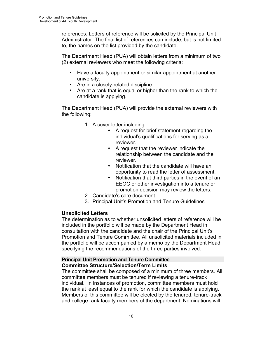references. Letters of reference will be solicited by the Principal Unit Administrator. The final list of references can include, but is not limited to, the names on the list provided by the candidate.

The Department Head (PUA) will obtain letters from a minimum of two (2) external reviewers who meet the following criteria:

- Have a faculty appointment or similar appointment at another university.
- Are in a closely-related discipline.
- Are at a rank that is equal or higher than the rank to which the candidate is applying.

The Department Head (PUA) will provide the external reviewers with the following:

- 1. A cover letter including:
	- A request for brief statement regarding the individual's qualifications for serving as a reviewer.
	- A request that the reviewer indicate the relationship between the candidate and the reviewer.
	- Notification that the candidate will have an opportunity to read the letter of assessment.
	- Notification that third parties in the event of an EEOC or other investigation into a tenure or promotion decision may review the letters.
- 2. Candidate's core document
- 3. Principal Unit's Promotion and Tenure Guidelines

## **Unsolicited Letters**

The determination as to whether unsolicited letters of reference will be included in the portfolio will be made by the Department Head in consultation with the candidate and the chair of the Principal Unit's Promotion and Tenure Committee. All unsolicited materials included in the portfolio will be accompanied by a memo by the Department Head specifying the recommendations of the three parties involved.

## **Principal Unit Promotion and Tenure Committee Committee Structure/Selection/Term Limits**

The committee shall be composed of a minimum of three members. All committee members must be tenured if reviewing a tenure-track individual. In instances of promotion, committee members must hold the rank at least equal to the rank for which the candidate is applying. Members of this committee will be elected by the tenured, tenure-track and college rank faculty members of the department. Nominations will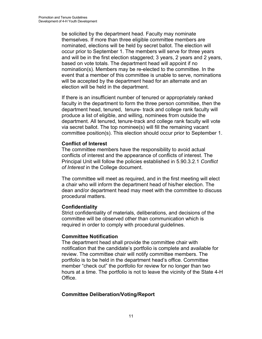be solicited by the department head. Faculty may nominate themselves. If more than three eligible committee members are nominated, elections will be held by secret ballot. The election will occur prior to September 1. The members will serve for three years and will be in the first election staggered; 3 years, 2 years and 2 years, based on vote totals. The department head will appoint if no nomination(s). Members may be re-elected to the committee. In the event that a member of this committee is unable to serve, nominations will be accepted by the department head for an alternate and an election will be held in the department.

If there is an insufficient number of tenured or appropriately ranked faculty in the department to form the three person committee, then the department head, tenured, tenure- track and college rank faculty will produce a list of eligible, and willing, nominees from outside the department. All tenured, tenure-track and college rank faculty will vote via secret ballot. The top nominee(s) will fill the remaining vacant committee position(s). This election should occur prior to September 1.

## **Conflict of Interest**

of Interest in the College document. The committee members have the responsibility to avoid actual conflicts of interest and the appearance of conflicts of interest. The Principal Unit will follow the policies established in 5.90.3.2.1 *Conflict* 

The committee will meet as required, and in the first meeting will elect a chair who will inform the department head of his/her election. The dean and/or department head may meet with the committee to discuss procedural matters.

## **Confidentiality**

Strict confidentiality of materials, deliberations, and decisions of the committee will be observed other than communication which is required in order to comply with procedural guidelines.

## **Committee Notification**

The department head shall provide the committee chair with notification that the candidate's portfolio is complete and available for review. The committee chair will notify committee members. The portfolio is to be held in the department head's office. Committee member "check out" the portfolio for review for no longer than two hours at a time. The portfolio is not to leave the vicinity of the State 4-H Office.

## **Committee Deliberation/Voting/Report**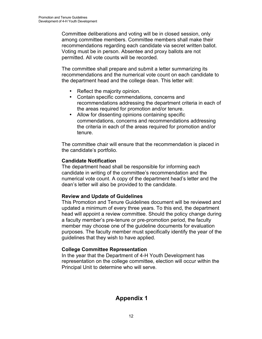Committee deliberations and voting will be in closed session, only among committee members. Committee members shall make their recommendations regarding each candidate via secret written ballot. Voting must be in person. Absentee and proxy ballots are not permitted. All vote counts will be recorded.

The committee shall prepare and submit a letter summarizing its recommendations and the numerical vote count on each candidate to the department head and the college dean. This letter will:

- Reflect the majority opinion.
- Contain specific commendations, concerns and recommendations addressing the department criteria in each of the areas required for promotion and/or tenure.
- Allow for dissenting opinions containing specific commendations, concerns and recommendations addressing the criteria in each of the areas required for promotion and/or tenure.

The committee chair will ensure that the recommendation is placed in the candidate's portfolio.

## **Candidate Notification**

The department head shall be responsible for informing each candidate in writing of the committee's recommendation and the numerical vote count. A copy of the department head's letter and the dean's letter will also be provided to the candidate.

## **Review and Update of Guidelines**

This Promotion and Tenure Guidelines document will be reviewed and updated a minimum of every three years. To this end, the department head will appoint a review committee. Should the policy change during a faculty member's pre-tenure or pre-promotion period, the faculty member may choose one of the guideline documents for evaluation purposes. The faculty member must specifically identify the year of the guidelines that they wish to have applied.

## **College Committee Representation**

In the year that the Department of 4-H Youth Development has representation on the college committee, election will occur within the Principal Unit to determine who will serve.

## **Appendix 1**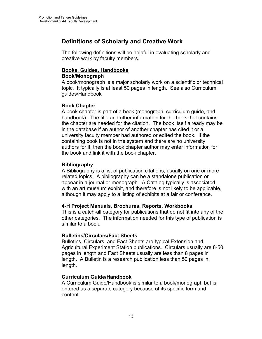## **Definitions of Scholarly and Creative Work**

The following definitions will be helpful in evaluating scholarly and creative work by faculty members.

## **Books, Guides, Handbooks**

## **Book/Monograph**

A book/monograph is a major scholarly work on a scientific or technical topic. It typically is at least 50 pages in length. See also Curriculum guides/Handbook

## **Book Chapter**

A book chapter is part of a book (monograph, curriculum guide, and handbook). The title and other information for the book that contains the chapter are needed for the citation. The book itself already may be in the database if an author of another chapter has cited it or a university faculty member had authored or edited the book. If the containing book is not in the system and there are no university authors for it, then the book chapter author may enter information for the book and link it with the book chapter.

## **Bibliography**

A Bibliography is a list of publication citations, usually on one or more related topics. A bibliography can be a standalone publication or appear in a journal or monograph. A Catalog typically is associated with an art museum exhibit, and therefore is not likely to be applicable, although it may apply to a listing of exhibits at a fair or conference.

## **4-H Project Manuals, Brochures, Reports, Workbooks**

This is a catch-all category for publications that do not fit into any of the other categories. The information needed for this type of publication is similar to a book.

## **Bulletins/Circulars/Fact Sheets**

Bulletins, Circulars, and Fact Sheets are typical Extension and Agricultural Experiment Station publications. Circulars usually are 8-50 pages in length and Fact Sheets usually are less than 8 pages in length. A Bulletin is a research publication less than 50 pages in length.

## **Curriculum Guide/Handbook**

A Curriculum Guide/Handbook is similar to a book/monograph but is entered as a separate category because of its specific form and content.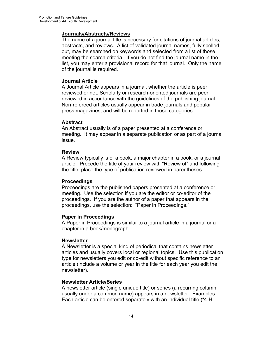## **Journals/Abstracts/Reviews**

The name of a journal title is necessary for citations of journal articles, abstracts, and reviews. A list of validated journal names, fully spelled out, may be searched on keywords and selected from a list of those meeting the search criteria. If you do not find the journal name in the list, you may enter a provisional record for that journal. Only the name of the journal is required.

## **Journal Article**

A Journal Article appears in a journal, whether the article is peer reviewed or not. Scholarly or research-oriented journals are peer reviewed in accordance with the guidelines of the publishing journal. Non-refereed articles usually appear in trade journals and popular press magazines, and will be reported in those categories.

## **Abstract**

An Abstract usually is of a paper presented at a conference or meeting. It may appear in a separate publication or as part of a journal issue.

## **Review**

A Review typically is of a book, a major chapter in a book, or a journal article. Precede the title of your review with "Review of" and following the title, place the type of publication reviewed in parentheses.

## **Proceedings**

Proceedings are the published papers presented at a conference or meeting. Use the selection if you are the editor or co-editor of the proceedings. If you are the author of a paper that appears in the proceedings, use the selection: "Paper in Proceedings."

## **Paper in Proceedings**

A Paper in Proceedings is similar to a journal article in a journal or a chapter in a book/monograph.

## **Newsletter**

A Newsletter is a special kind of periodical that contains newsletter articles and usually covers local or regional topics. Use this publication type for newsletters you edit or co-edit without specific reference to an article (include a volume or year in the title for each year you edit the newsletter).

## **Newsletter Article/Series**

A newsletter article (single unique title) or series (a recurring column usually under a common name) appears in a newsletter. Examples: Each article can be entered separately with an individual title ("4-H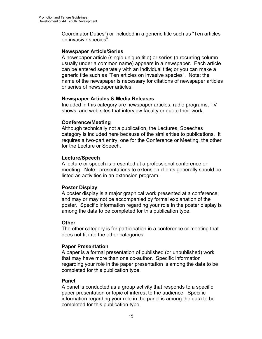Coordinator Duties") or included in a generic title such as "Ten articles on invasive species".

## **Newspaper Article/Series**

A newspaper article (single unique title) or series (a recurring column usually under a common name) appears in a newspaper. Each article can be entered separately with an individual title; or you can make a generic title such as "Ten articles on invasive species". Note: the name of the newspaper is necessary for citations of newspaper articles or series of newspaper articles.

## **Newspaper Articles & Media Releases**

Included in this category are newspaper articles, radio programs, TV shows, and web sites that interview faculty or quote their work.

## **Conference/Meeting**

Although technically not a publication, the Lectures, Speeches category is included here because of the similarities to publications. It requires a two-part entry, one for the Conference or Meeting, the other for the Lecture or Speech.

## **Lecture/Speech**

A lecture or speech is presented at a professional conference or meeting. Note: presentations to extension clients generally should be listed as activities in an extension program.

## **Poster Display**

A poster display is a major graphical work presented at a conference, and may or may not be accompanied by formal explanation of the poster. Specific information regarding your role in the poster display is among the data to be completed for this publication type.

## **Other**

The other category is for participation in a conference or meeting that does not fit into the other categories.

## **Paper Presentation**

A paper is a formal presentation of published (or unpublished) work that may have more than one co-author. Specific information regarding your role in the paper presentation is among the data to be completed for this publication type.

## **Panel**

A panel is conducted as a group activity that responds to a specific paper presentation or topic of interest to the audience. Specific information regarding your role in the panel is among the data to be completed for this publication type.